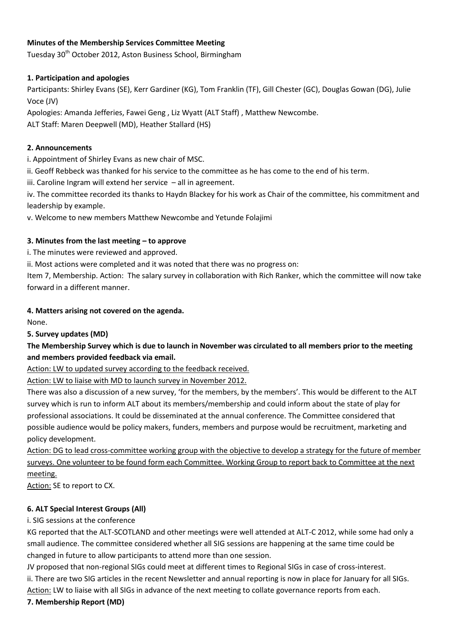# **Minutes of the Membership Services Committee Meeting**

Tuesday 30<sup>th</sup> October 2012, Aston Business School, Birmingham

# **1. Participation and apologies**

Participants: Shirley Evans (SE), Kerr Gardiner (KG), Tom Franklin (TF), Gill Chester (GC), Douglas Gowan (DG), Julie Voce (JV)

Apologies: Amanda Jefferies, Fawei Geng , Liz Wyatt (ALT Staff) , Matthew Newcombe.

ALT Staff: Maren Deepwell (MD), Heather Stallard (HS)

# **2. Announcements**

i. Appointment of Shirley Evans as new chair of MSC.

ii. Geoff Rebbeck was thanked for his service to the committee as he has come to the end of his term.

iii. Caroline Ingram will extend her service – all in agreement.

iv. The committee recorded its thanks to Haydn Blackey for his work as Chair of the committee, his commitment and leadership by example.

v. Welcome to new members Matthew Newcombe and Yetunde Folajimi

# **3. Minutes from the last meeting – to approve**

i. The minutes were reviewed and approved.

ii. Most actions were completed and it was noted that there was no progress on:

Item 7, Membership. Action: The salary survey in collaboration with Rich Ranker, which the committee will now take forward in a different manner.

# **4. Matters arising not covered on the agenda.**

None.

## **5. Survey updates (MD)**

# **The Membership Survey which is due to launch in November was circulated to all members prior to the meeting and members provided feedback via email.**

Action: LW to updated survey according to the feedback received.

Action: LW to liaise with MD to launch survey in November 2012.

There was also a discussion of a new survey, 'for the members, by the members'. This would be different to the ALT survey which is run to inform ALT about its members/membership and could inform about the state of play for professional associations. It could be disseminated at the annual conference. The Committee considered that possible audience would be policy makers, funders, members and purpose would be recruitment, marketing and policy development.

Action: DG to lead cross-committee working group with the objective to develop a strategy for the future of member surveys. One volunteer to be found form each Committee. Working Group to report back to Committee at the next meeting.

Action: SE to report to CX.

# **6. ALT Special Interest Groups (All)**

i. SIG sessions at the conference

KG reported that the ALT-SCOTLAND and other meetings were well attended at ALT-C 2012, while some had only a small audience. The committee considered whether all SIG sessions are happening at the same time could be changed in future to allow participants to attend more than one session.

JV proposed that non-regional SIGs could meet at different times to Regional SIGs in case of cross-interest. ii. There are two SIG articles in the recent Newsletter and annual reporting is now in place for January for all SIGs. Action: LW to liaise with all SIGs in advance of the next meeting to collate governance reports from each.

## **7. Membership Report (MD)**